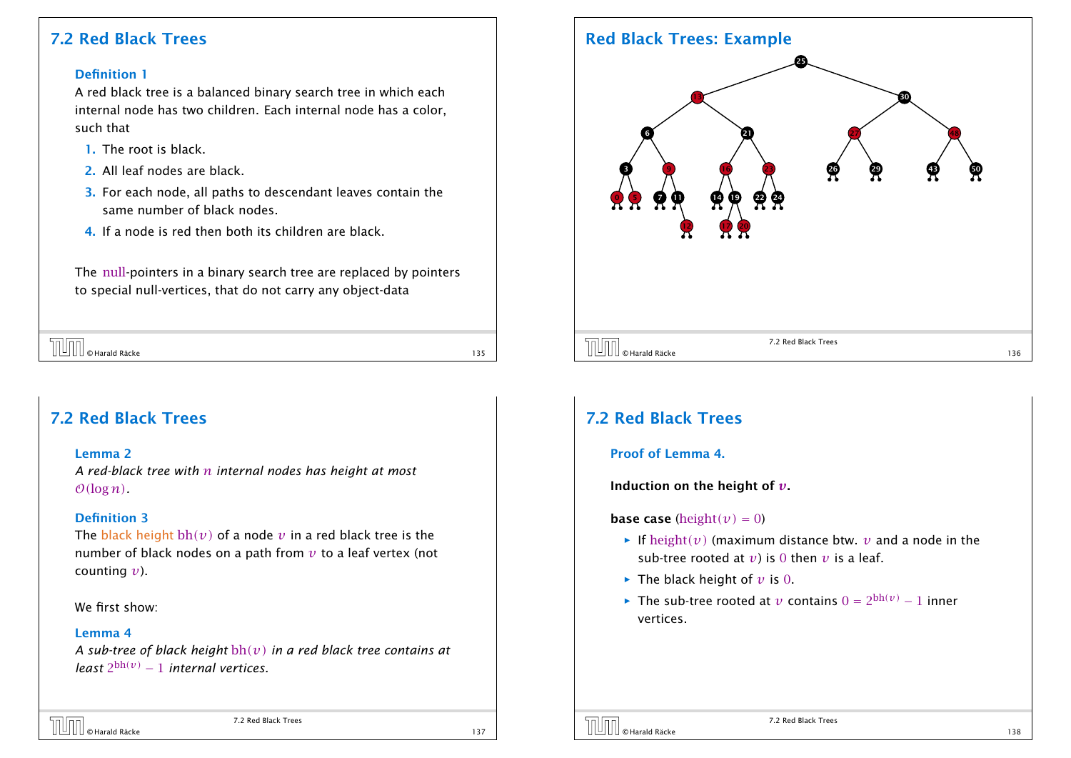# <span id="page-0-0"></span>7.2 Red Black Trees

#### Definition 1

A red black tree is a balanced binary search tree in which each internal node has two children. Each internal node has a color, such that

- 1. The root is black.
- 2. All leaf nodes are black.
- 3. For each node, all paths to descendant leaves contain the same number of black nodes.
- 4. If a node is red then both its children are black.

The null-pointers in a binary search tree are replaced by pointers to special null-vertices, that do not carry any object-data

| $\boxed{\frac{1}{\sqrt{1}}\,}$ © Harald Räcke |    |
|-----------------------------------------------|----|
|                                               | 35 |

 $\overline{\mathbb{I}}$ 

# 7.2 Red Black Trees

#### Lemma 2

*A red-black tree with n internal nodes has height at most*  $O(log n)$ .

#### Definition 3

The black height bh $(v)$  of a node v in a red black tree is the number of black nodes on a path from *v* to a leaf vertex (not counting *v*).

#### We first show:

#### Lemma 4

*A sub-tree of black height* bh*(v) in a red black tree contains at*  $least 2^{bh(v)} - 1$  *internal vertices.* 

7.2 Red Black Trees © Harald Räcke 137



Red Black Trees: Example

0 5 7 11 13 19 22 24

 $(12)$   $(17)$   $(20)$ 

#### Proof of Lemma 4.

Induction on the height of *v*.

#### **base case** (height $(v) = 0$ )

**Figure 1** If height(*v*) (maximum distance btw. *v* and a node in the sub-tree rooted at  $v$ ) is 0 then  $v$  is a leaf.

25

 $13$  30

6 21 27 48

3 (9) (16) (23) (23) (29) (43) (50

7.2 Red Black Trees  $\overline{C}$   $\overline{C}$   $\overline{C}$   $\overline{C}$   $\overline{C}$   $\overline{C}$   $\overline{C}$   $\overline{C}$   $\overline{C}$   $\overline{C}$   $\overline{C}$   $\overline{C}$   $\overline{C}$   $\overline{C}$   $\overline{C}$   $\overline{C}$   $\overline{C}$   $\overline{C}$   $\overline{C}$   $\overline{C}$   $\overline{C}$   $\overline{C}$   $\overline{C}$   $\overline{C}$   $\overline{$ 

- $\blacktriangleright$  The black height of  $\nu$  is 0.
- **►** The sub-tree rooted at *v* contains  $0 = 2^{bh(v)} 1$  inner vertices.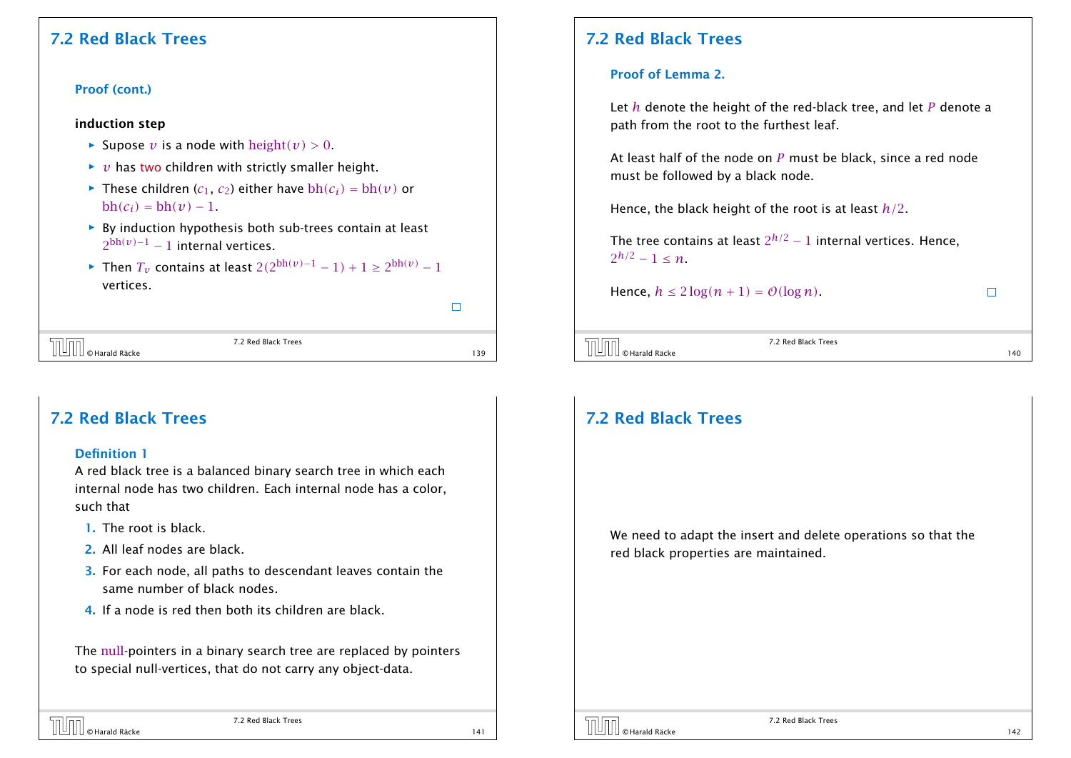# 7.2 Red Black Trees

#### Proof (cont.)

#### induction step

- $\blacktriangleright$  Supose *v* is a node with height $(v) > 0$ .
- $\rightarrow v$  has two children with strictly smaller height.
- $\rightarrow$  These children (*c*<sub>1</sub>, *c*<sub>2</sub>) either have bh(*c<sub>i</sub>*) = bh(*v*) or  $bh(c_i) = bh(v) - 1$ .
- **▶ By induction hypothesis both sub-trees contain at least**  $2^{bh(v)-1} - 1$  internal vertices.
- *►* Then  $T_v$  contains at least  $2(2^{bh(v)-1} 1) + 1 \ge 2^{bh(v)} 1$ vertices.

 $\Box$ 

|  |  | @Harald Dä. |  |
|--|--|-------------|--|
|  |  |             |  |

#### 7.2 Red Black Trees © Harald Räcke 139

# 7.2 Red Black Trees

#### Definition 1

A red blac[k t](#page-0-0)ree is a balanced binary search tree in which each internal node has two children. Each internal node has a color, such that

- 1. The root is black.
- 2. All leaf nodes are black.
- 3. For each node, all paths to descendant leaves contain the same number of black nodes.
- 4. If a node is red then both its children are black.

The null-pointers in a binary search tree are replaced by pointers to special null-vertices, that do not carry any object-data.

# 7.2 Red Black Trees

#### Proof of Lemma 2.

Let *h* denote the height of the red-black tree, and let *P* denote a path from the root to the furthest leaf.

At least half of the node on *P* must be black, since a red node must be followed by a black node.

Hence, the black height of the root is at least *h/*2.

The tree contains at least  $2^{h/2}-1$  internal vertices. Hence,  $2^{h/2} - 1 \leq n$ .

Hence,  $h \le 2 \log(n + 1) = O(\log n)$ .

 $\overline{C}$   $\overline{C}$   $\overline{C}$   $\overline{C}$   $\overline{C}$   $\overline{C}$   $\overline{C}$   $\overline{C}$   $\overline{C}$   $\overline{C}$   $\overline{C}$   $\overline{C}$   $\overline{C}$   $\overline{C}$   $\overline{C}$   $\overline{C}$   $\overline{C}$   $\overline{C}$   $\overline{C}$   $\overline{C}$   $\overline{C}$   $\overline{C}$   $\overline{C}$   $\overline{C}$   $\overline{$ 

7.2 Red Black Trees

 $\Box$ 

# 7.2 Red Black Trees

We need to adapt the insert and delete operations so that the red black properties are maintained.



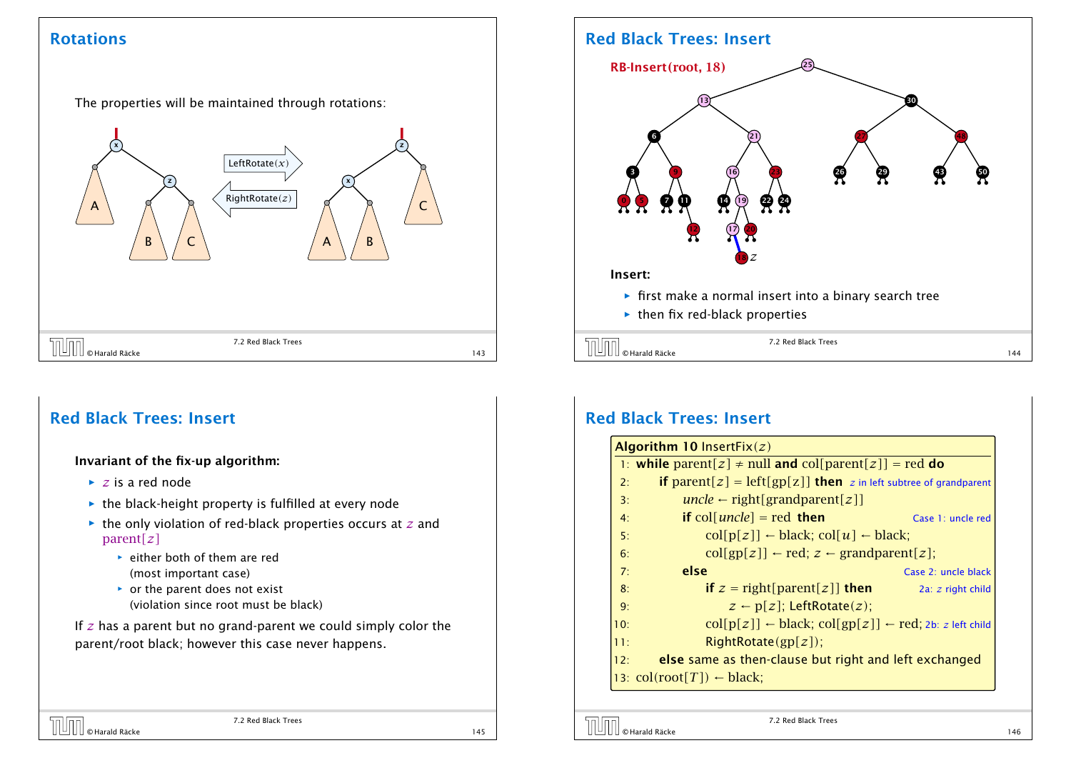# Rotations

The properties will be maintained through rotations:



# Red Black Trees: Insert

### Invariant of the fix-up algorithm:

- **▶** *z* is a red node
- ▶ the black-height property is fulfilled at every node
- *ñ* the only violation of red-black properties occurs at *z* and parent*[z]*
	- **Fig. 2** either both of them are red (most important case)
	- ▶ or the parent does not exist (violation since root must be black)

If *z* has a parent but no grand-parent we could simply color the parent/root black; however this case never happens.



# Red Black Trees: Insert

|     | <b>Algorithm 10</b> InsertFix $(z)$                                                     |
|-----|-----------------------------------------------------------------------------------------|
|     | 1: while parent $[z] \neq \text{null}$ and col [parent $[z]$ ] = red do                 |
| 2:  | <b>if</b> parent[ $z$ ] = $left[gp[z]$ ] <b>then</b> $z$ in left subtree of grandparent |
| 3:  | uncle $\leftarrow$ right[grandparent[z]]                                                |
| 4:  | <b>if</b> col[ <i>uncle</i> ] = red <b>then</b><br>Case 1: uncle red                    |
| 5:  | $col[p[z]] \leftarrow \text{black}$ ; col $[u] \leftarrow \text{black}$ ;               |
| 6:  | $\text{col}[gp[z]] \leftarrow \text{red}; z \leftarrow \text{grandparent}[z];$          |
| 7:  | else<br>Case 2: uncle black                                                             |
| 8:  | <b>if</b> $z = \text{right}[\text{parent}[z]]$ then<br>2a: z right child                |
| 9:  | $z \leftarrow p[z]$ ; LeftRotate(z);                                                    |
| 10: | $col[p[z]] \leftarrow black$ ; $col[gp[z]] \leftarrow red$ ; 2b: <i>z</i> left child    |
| 11: | RightRotate(gp[z]);                                                                     |
| 12: | else same as then-clause but right and left exchanged                                   |
|     | 13: $col(root[T]) \leftarrow black;$                                                    |
|     |                                                                                         |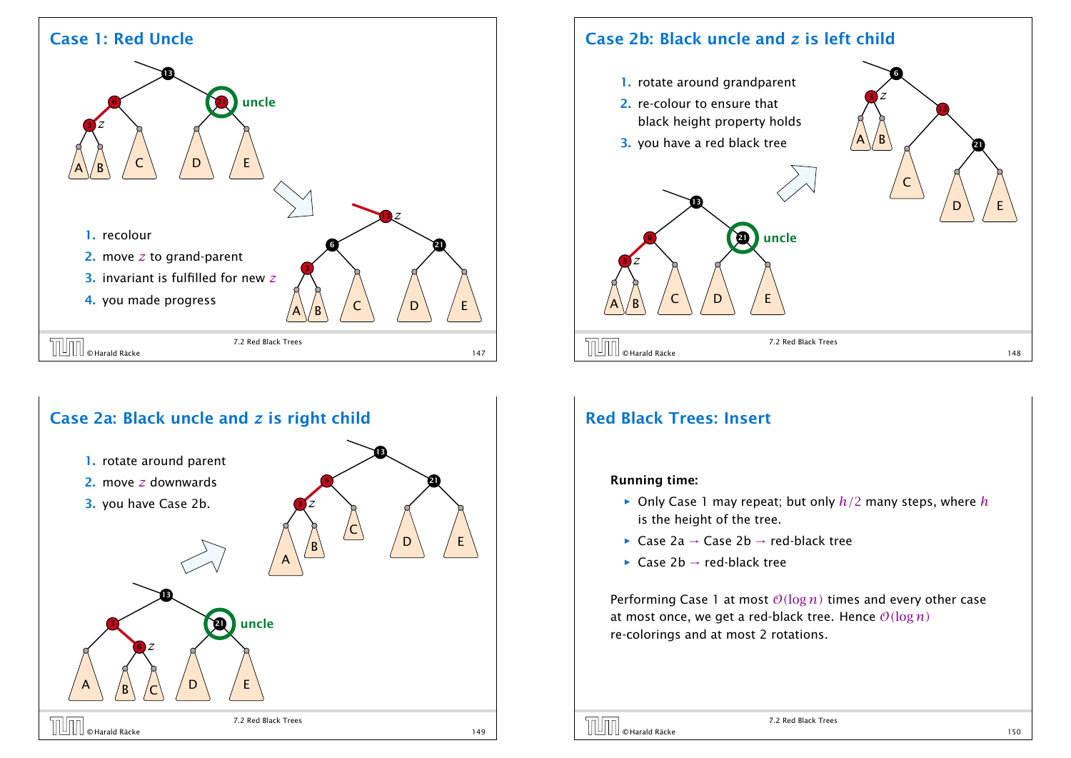



### Case 2b: Black uncle and *z* is left child



# Red Black Trees: Insert

#### Running time:

- *ñ* Only Case 1 may repeat; but only *h/*2 many steps, where *h* is the height of the tree.
- *ñ* Case 2a → Case 2b → red-black tree
- *ñ* Case 2b → red-black tree

Performing Case 1 at most  $O(log n)$  times and every other case at most once, we get a red-black tree. Hence O*(*log *n)* re-colorings and at most 2 rotations.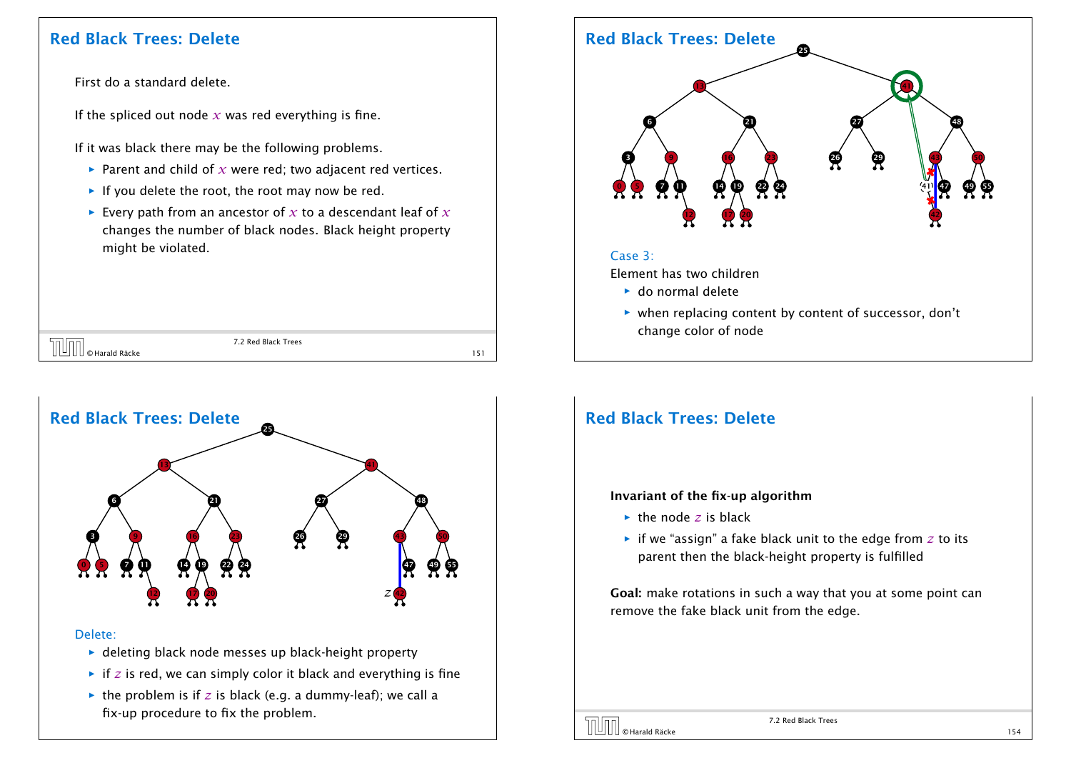# Red Black Trees: Delete

First do a standard delete.

If the spliced out node  $x$  was red everything is fine.

If it was black there may be the following problems.

- $\triangleright$  Parent and child of *x* were red; two adjacent red vertices.
- **F** If you delete the root, the root may now be red.
- $\blacktriangleright$  Every path from an ancestor of  $x$  to a descendant leaf of  $x$ changes the number of black nodes. Black height property might be violated.

| © Harald Räcke | 7.2 Red Black Trees |  |
|----------------|---------------------|--|
|                |                     |  |



#### Delete:

- ▶ deleting black node messes up black-height property
- $\rightarrow$  if *z* is red, we can simply color it black and everything is fine
- $\triangleright$  the problem is if *z* is black (e.g. a dummy-leaf); we call a fix-up procedure to fix the problem.



- ► do normal delete
- **▶ when replacing content by content of successor, don't** change color of node

# Red Black Trees: Delete

#### Invariant of the fix-up algorithm

- $\blacktriangleright$  the node *z* is black
- $\triangleright$  if we "assign" a fake black unit to the edge from  $z$  to its parent then the black-height property is fulfilled

Goal: make rotations in such a way that you at some point can remove the fake black unit from the edge.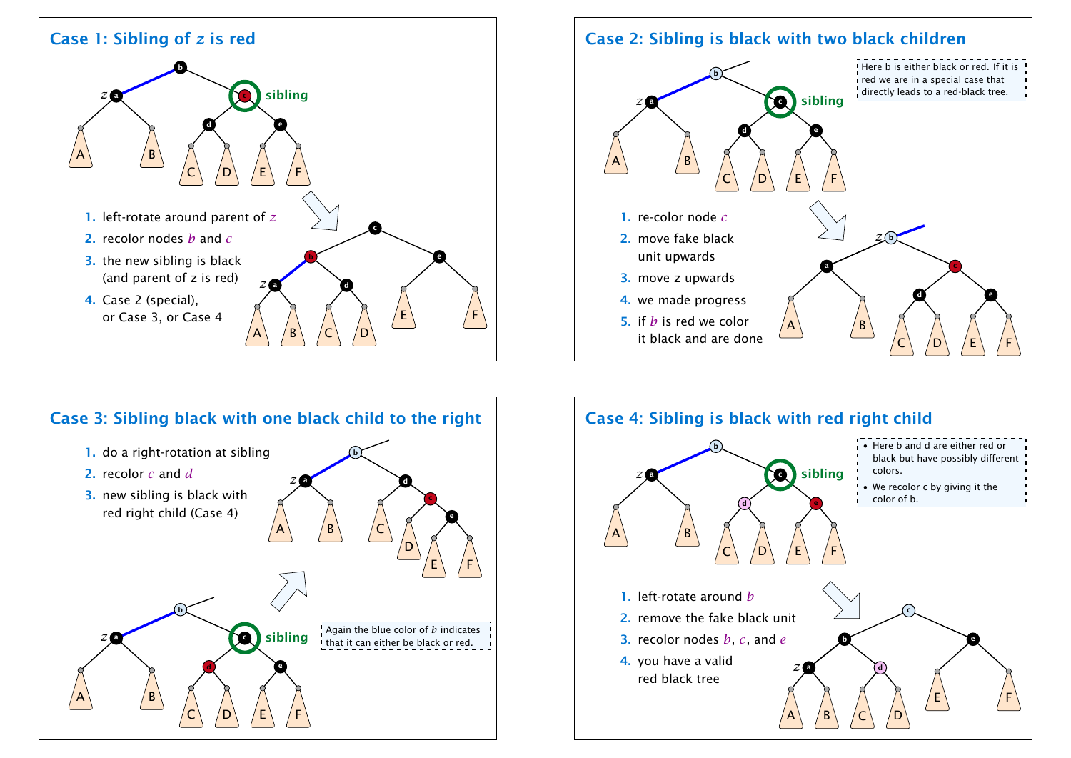

### Case 2: Sibling is black with two black children



# Case 3: Sibling black with one black child to the right



# Case 4: Sibling is black with red right child